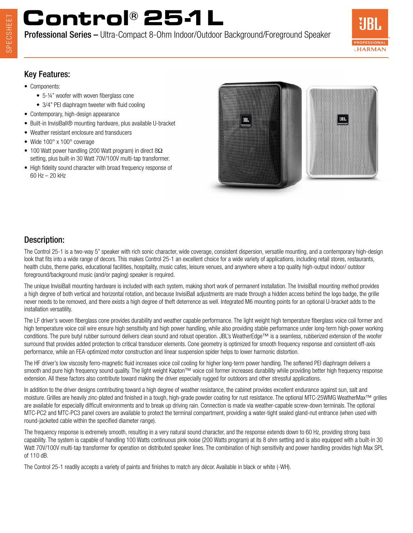# **Control® 25-1L**

Professional Series – Ultra-Compact 8-Ohm Indoor/Outdoor Background/Foreground Speaker



### Key Features:

- Components:
	- 5-¼" woofer with woven fiberglass cone
	- 3/4" PEI diaphragm tweeter with fluid cooling
- Contemporary, high-design appearance
- Built-in InvisiBall® mounting hardware, plus available U-bracket
- Weather resistant enclosure and transducers
- Wide 100° x 100° coverage
- 100 Watt power handling (200 Watt program) in direct 8Ω setting, plus built-in 30 Watt 70V/100V multi-tap transformer.
- High fidelity sound character with broad frequency response of 60 Hz – 20 kHz



### Description:

The Control 25-1 is a two-way 5" speaker with rich sonic character, wide coverage, consistent dispersion, versatile mounting, and a contemporary high-design look that fits into a wide range of decors. This makes Control 25-1 an excellent choice for a wide variety of applications, including retail stores, restaurants, health clubs, theme parks, educational facilities, hospitality, music cafes, leisure venues, and anywhere where a top quality high-output indoor/ outdoor foreground/background music (and/or paging) speaker is required.

The unique InvisiBall mounting hardware is included with each system, making short work of permanent installation. The InvisiBall mounting method provides a high degree of both vertical and horizontal rotation, and because InvisiBall adjustments are made through a hidden access behind the logo badge, the grille never needs to be removed, and there exists a high degree of theft deterrence as well. Integrated M6 mounting points for an optional U-bracket adds to the installation versatility.

The LF driver's woven fiberglass cone provides durability and weather capable performance. The light weight high temperature fiberglass voice coil former and high temperature voice coil wire ensure high sensitivity and high power handling, while also providing stable performance under long-term high-power working conditions. The pure butyl rubber surround delivers clean sound and robust operation. JBL's WeatherEdge™ is a seamless, rubberized extension of the woofer surround that provides added protection to critical transducer elements. Cone geometry is optimized for smooth frequency response and consistent off-axis performance, while an FEA-optimized motor construction and linear suspension spider helps to lower harmonic distortion.

The HF driver's low viscosity ferro-magnetic fluid increases voice coil cooling for higher long-term power handling. The softened PEI diaphragm delivers a smooth and pure high frequency sound quality. The light weight Kapton™ voice coil former increases durability while providing better high frequency response extension. All these factors also contribute toward making the driver especially rugged for outdoors and other stressful applications.

In addition to the driver designs contributing toward a high degree of weather resistance, the cabinet provides excellent endurance against sun, salt and moisture. Grilles are heavily zinc-plated and finished in a tough, high-grade powder coating for rust resistance. The optional MTC-25WMG WeatherMax™ grilles are available for especially difficult environments and to break up driving rain. Connection is made via weather-capable screw-down terminals. The optional MTC-PC2 and MTC-PC3 panel covers are available to protect the terminal compartment, providing a water-tight sealed gland-nut entrance (when used with round-jacketed cable within the specified diameter range).

The frequency response is extremely smooth, resulting in a very natural sound character, and the response extends down to 60 Hz, providing strong bass capability. The system is capable of handling 100 Watts continuous pink noise (200 Watts program) at its 8 ohm setting and is also equipped with a built-in 30 Watt 70V/100V multi-tap transformer for operation on distributed speaker lines. The combination of high sensitivity and power handling provides high Max SPL of 110 dB.

The Control 25-1 readily accepts a variety of paints and finishes to match any décor. Available in black or white (-WH).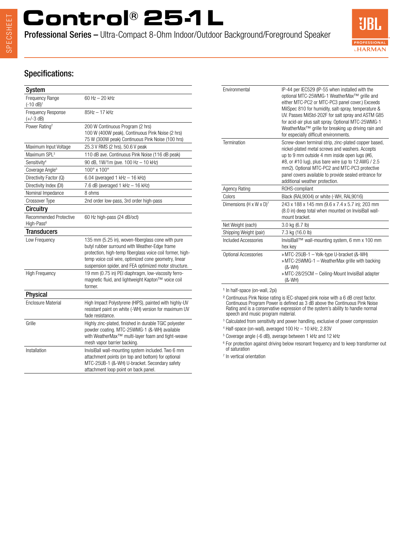# **Control® 25-1L**

Professional Series – Ultra-Compact 8-Ohm Indoor/Outdoor Background/Foreground Speaker



### Specifications:

| System                                           |                                                                                                                                                                                                                                                                                   |
|--------------------------------------------------|-----------------------------------------------------------------------------------------------------------------------------------------------------------------------------------------------------------------------------------------------------------------------------------|
| <b>Frequency Range</b><br>$(-10 dB)^1$           | 60 Hz - 20 kHz                                                                                                                                                                                                                                                                    |
| Frequency Response<br>$(+/-3 dB)$                | 85Hz - 17 kHz                                                                                                                                                                                                                                                                     |
| Power Rating <sup>2</sup>                        | 200 W Continuous Program (2 hrs)<br>100 W (400W peak), Continuous Pink Noise (2 hrs)<br>75 W (300W peak) Continuous Pink Noise (100 hrs)                                                                                                                                          |
| Maximum Input Voltage                            | 25.3 V RMS (2 hrs), 50.6 V peak                                                                                                                                                                                                                                                   |
| Maximum SPL <sup>3</sup>                         | 110 dB ave. Continuous Pink Noise (116 dB peak)                                                                                                                                                                                                                                   |
| Sensitivity <sup>4</sup>                         | 90 dB, 1W/1m (ave. 100 Hz - 10 kHz)                                                                                                                                                                                                                                               |
| Coverage Angle <sup>5</sup>                      | 100° x 100°                                                                                                                                                                                                                                                                       |
| Directivity Factor (Q)                           | $6.04$ (averaged 1 kHz $-$ 16 kHz)                                                                                                                                                                                                                                                |
| Directivity Index (DI)                           | 7.6 dB (averaged 1 kHz - 16 kHz)                                                                                                                                                                                                                                                  |
| Nominal Impedance                                | 8 ohms                                                                                                                                                                                                                                                                            |
| Crossover Type                                   | 2nd order low-pass, 3rd order high-pass                                                                                                                                                                                                                                           |
| Circuitry                                        |                                                                                                                                                                                                                                                                                   |
| Recommended Protective<br>High-Pass <sup>6</sup> | 60 Hz high-pass (24 dB/oct)                                                                                                                                                                                                                                                       |
| <b>Transducers</b>                               |                                                                                                                                                                                                                                                                                   |
| Low Frequency                                    | 135 mm (5.25 in), woven-fiberglass cone with pure<br>butyl rubber surround with Weather-Edge frame<br>protection, high-temp fiberglass voice coil former, high-<br>temp voice coil wire, optimized cone geometry, linear<br>suspension spider, and FEA optimized motor structure. |
| <b>High Frequency</b>                            | 19 mm (0.75 in) PEI diaphragm, low-viscosity ferro-<br>magnetic fluid, and lightweight Kapton™ voice coil<br>former.                                                                                                                                                              |
| <b>Physical</b>                                  |                                                                                                                                                                                                                                                                                   |
| <b>Enclosure Material</b>                        | High Impact Polystyrene (HIPS), painted with highly-UV<br>resistant paint on white (-WH) version for maximum UV<br>fade resistance.                                                                                                                                               |
| Grille                                           | Highly zinc-plated, finished in durable TGIC polyester<br>powder coating. MTC-25WMG-1 (&-WH) available<br>with WeatherMax <sup>™</sup> multi-layer foam and tight-weave<br>mesh vapor barrier backing.                                                                            |
| Installation                                     | InvisiBall wall-mounting system included. Two 6 mm<br>attachment points (on top and bottom) for optional<br>MTC-25UB-1 (&-WH) U-bracket. Secondary safety<br>attachment loop point on back panel.                                                                                 |

| Environmental                       | IP-44 per IEC529 (IP-55 when installed with the<br>optional MTC-25WMG-1 WeatherMax™ grille and<br>either MTC-PC2 or MTC-PC3 panel cover.) Exceeds<br>MilSpec 810 for humidity, salt-spray, temperature &<br>UV. Passes MilStd-202F for salt spray and ASTM G85<br>for acid-air plus salt spray. Optional MTC-25WMG-1<br>WeatherMax <sup>™</sup> grille for breaking up driving rain and<br>for especially difficult environments. |
|-------------------------------------|-----------------------------------------------------------------------------------------------------------------------------------------------------------------------------------------------------------------------------------------------------------------------------------------------------------------------------------------------------------------------------------------------------------------------------------|
| Termination                         | Screw-down terminal strip, zinc-plated copper based,<br>nickel-plated metal screws and washers. Accepts<br>up to 9 mm outside 4 mm inside open lugs (#6,<br>#8, or #10 lug), plus bare wire (up to 12 AWG / 2.5<br>mm2). Optional MTC-PC2 and MTC-PC3 protective<br>panel covers available to provide sealed entrance for<br>additional weather protection.                                                                       |
| <b>Agency Rating</b>                | ROHS-compliant                                                                                                                                                                                                                                                                                                                                                                                                                    |
| Colors                              | Black (RAL9004) or white (-WH, RAL9016)                                                                                                                                                                                                                                                                                                                                                                                           |
| Dimensions (H x W x D) <sup>7</sup> | 243 x 188 x 145 mm (9.6 x 7.4 x 5.7 in); 203 mm<br>(8.0 in) deep total when mounted on InvisiBall wall-<br>mount bracket.                                                                                                                                                                                                                                                                                                         |
| Net Weight (each)                   | 3.0 kg (6.7 lb)                                                                                                                                                                                                                                                                                                                                                                                                                   |
| Shipping Weight (pair)              | 7.3 kg (16.0 lb)                                                                                                                                                                                                                                                                                                                                                                                                                  |
| Included Accessories                | InvisiBall™ wall-mounting system, 6 mm x 100 mm<br>hex key                                                                                                                                                                                                                                                                                                                                                                        |
| Optional Accessories                | » MTC-25UB-1 - Yolk-type U-bracket (&-WH)<br>» MTC-25WMG-1 - WeatherMax grille with backing<br>$(8-WH)$<br>» MTC-28/25CM - Ceiling-Mount InvisiBall adapter<br>$(8-WH)$                                                                                                                                                                                                                                                           |

<sup>1</sup> In half-space (on-wall, 2pi)

² Continuous Pink Noise rating is IEC-shaped pink noise with a 6 dB crest factor. Continuous Program Power is defined as 3 dB above the Continuous Pink Noise Rating and is a conservative expression of the system's ability to handle normal speech and music program material.

<sup>3</sup> Calculated from sensitivity and power handling, exclusive of power compression

4 Half-space (on-wall), averaged 100 Hz – 10 kHz, 2.83V

5 Coverage angle (-6 dB), average between 1 kHz and 12 kHz

 $^6$  For protection against driving below resonant frequency and to keep transformer out of saturation

7 In vertical orientation